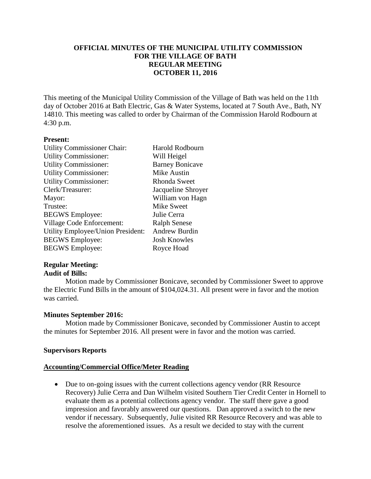# **OFFICIAL MINUTES OF THE MUNICIPAL UTILITY COMMISSION FOR THE VILLAGE OF BATH REGULAR MEETING OCTOBER 11, 2016**

This meeting of the Municipal Utility Commission of the Village of Bath was held on the 11th day of October 2016 at Bath Electric, Gas & Water Systems, located at 7 South Ave., Bath, NY 14810. This meeting was called to order by Chairman of the Commission Harold Rodbourn at 4:30 p.m.

### **Present:**

| <b>Utility Commissioner Chair:</b> | <b>Harold Rodbourn</b> |
|------------------------------------|------------------------|
| <b>Utility Commissioner:</b>       | Will Heigel            |
| <b>Utility Commissioner:</b>       | <b>Barney Bonicave</b> |
| <b>Utility Commissioner:</b>       | Mike Austin            |
| <b>Utility Commissioner:</b>       | Rhonda Sweet           |
| Clerk/Treasurer:                   | Jacqueline Shroyer     |
| Mayor:                             | William von Hagn       |
| Trustee:                           | <b>Mike Sweet</b>      |
| <b>BEGWS</b> Employee:             | Julie Cerra            |
| Village Code Enforcement:          | <b>Ralph Senese</b>    |
| Utility Employee/Union President:  | <b>Andrew Burdin</b>   |
| <b>BEGWS</b> Employee:             | <b>Josh Knowles</b>    |
| <b>BEGWS</b> Employee:             | Royce Hoad             |
|                                    |                        |

## **Regular Meeting: Audit of Bills:**

Motion made by Commissioner Bonicave, seconded by Commissioner Sweet to approve the Electric Fund Bills in the amount of \$104,024.31. All present were in favor and the motion was carried.

## **Minutes September 2016:**

Motion made by Commissioner Bonicave, seconded by Commissioner Austin to accept the minutes for September 2016. All present were in favor and the motion was carried.

### **Supervisors Reports**

### **Accounting/Commercial Office/Meter Reading**

 Due to on-going issues with the current collections agency vendor (RR Resource Recovery) Julie Cerra and Dan Wilhelm visited Southern Tier Credit Center in Hornell to evaluate them as a potential collections agency vendor. The staff there gave a good impression and favorably answered our questions. Dan approved a switch to the new vendor if necessary. Subsequently, Julie visited RR Resource Recovery and was able to resolve the aforementioned issues. As a result we decided to stay with the current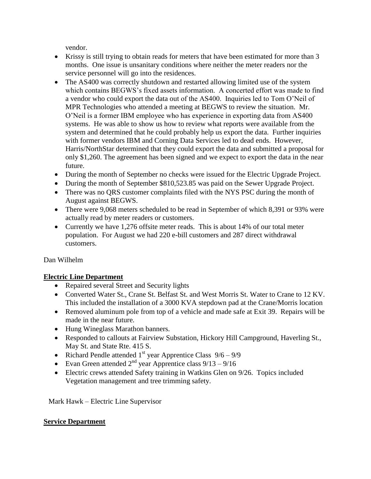vendor.

- Krissy is still trying to obtain reads for meters that have been estimated for more than 3 months. One issue is unsanitary conditions where neither the meter readers nor the service personnel will go into the residences.
- The AS400 was correctly shutdown and restarted allowing limited use of the system which contains BEGWS's fixed assets information. A concerted effort was made to find a vendor who could export the data out of the AS400. Inquiries led to Tom O'Neil of MPR Technologies who attended a meeting at BEGWS to review the situation. Mr. O'Neil is a former IBM employee who has experience in exporting data from AS400 systems. He was able to show us how to review what reports were available from the system and determined that he could probably help us export the data. Further inquiries with former vendors IBM and Corning Data Services led to dead ends. However, Harris/NorthStar determined that they could export the data and submitted a proposal for only \$1,260. The agreement has been signed and we expect to export the data in the near future.
- During the month of September no checks were issued for the Electric Upgrade Project.
- During the month of September \$810,523.85 was paid on the Sewer Upgrade Project.
- There was no QRS customer complaints filed with the NYS PSC during the month of August against BEGWS.
- There were 9,068 meters scheduled to be read in September of which 8,391 or 93% were actually read by meter readers or customers.
- Currently we have 1,276 offsite meter reads. This is about 14% of our total meter population. For August we had 220 e-bill customers and 287 direct withdrawal customers.

Dan Wilhelm

# **Electric Line Department**

- Repaired several Street and Security lights
- Converted Water St., Crane St. Belfast St. and West Morris St. Water to Crane to 12 KV. This included the installation of a 3000 KVA stepdown pad at the Crane/Morris location
- Removed aluminum pole from top of a vehicle and made safe at Exit 39. Repairs will be made in the near future.
- Hung Wineglass Marathon banners.
- Responded to callouts at Fairview Substation, Hickory Hill Campground, Haverling St., May St. and State Rte. 415 S.
- Richard Pendle attended  $1<sup>st</sup>$  year Apprentice Class  $9/6 9/9$
- Evan Green attended  $2<sup>nd</sup>$  year Apprentice class  $9/13 9/16$
- Electric crews attended Safety training in Watkins Glen on 9/26. Topics included Vegetation management and tree trimming safety.

Mark Hawk – Electric Line Supervisor

# **Service Department**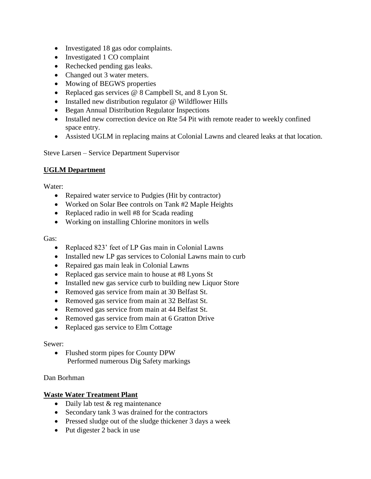- Investigated 18 gas odor complaints.
- Investigated 1 CO complaint
- Rechecked pending gas leaks.
- Changed out 3 water meters.
- Mowing of BEGWS properties
- Replaced gas services @ 8 Campbell St, and 8 Lyon St.
- Installed new distribution regulator @ Wildflower Hills
- Began Annual Distribution Regulator Inspections
- Installed new correction device on Rte 54 Pit with remote reader to weekly confined space entry.
- Assisted UGLM in replacing mains at Colonial Lawns and cleared leaks at that location.

Steve Larsen – Service Department Supervisor

# **UGLM Department**

Water:

- Repaired water service to Pudgies (Hit by contractor)
- Worked on Solar Bee controls on Tank #2 Maple Heights
- Replaced radio in well #8 for Scada reading
- Working on installing Chlorine monitors in wells

# Gas:

- Replaced 823' feet of LP Gas main in Colonial Lawns
- Installed new LP gas services to Colonial Lawns main to curb
- Repaired gas main leak in Colonial Lawns
- Replaced gas service main to house at #8 Lyons St
- Installed new gas service curb to building new Liquor Store
- Removed gas service from main at 30 Belfast St.
- Removed gas service from main at 32 Belfast St.
- Removed gas service from main at 44 Belfast St.
- Removed gas service from main at 6 Gratton Drive
- Replaced gas service to Elm Cottage

## Sewer:

• Flushed storm pipes for County DPW Performed numerous Dig Safety markings

Dan Borhman

# **Waste Water Treatment Plant**

- Daily lab test & reg maintenance
- Secondary tank 3 was drained for the contractors
- Pressed sludge out of the sludge thickener 3 days a week
- Put digester 2 back in use